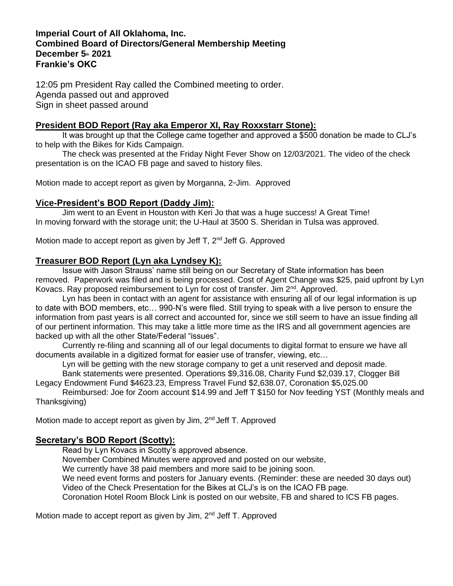### **Imperial Court of All Oklahoma, Inc. Combined Board of Directors/General Membership Meeting December 5th 2021 Frankie's OKC**

12:05 pm President Ray called the Combined meeting to order. Agenda passed out and approved Sign in sheet passed around

# **President BOD Report (Ray aka Emperor XI, Ray Roxxstarr Stone):**

It was brought up that the College came together and approved a \$500 donation be made to CLJ's to help with the Bikes for Kids Campaign.

The check was presented at the Friday Night Fever Show on 12/03/2021. The video of the check presentation is on the ICAO FB page and saved to history files.

Motion made to accept report as given by Morganna,  $2 \times J$ im. Approved

## **Vice-President's BOD Report (Daddy Jim):**

Jim went to an Event in Houston with Keri Jo that was a huge success! A Great Time! In moving forward with the storage unit; the U-Haul at 3500 S. Sheridan in Tulsa was approved.

Motion made to accept report as given by Jeff T,  $2^{nd}$  Jeff G. Approved

### **Treasurer BOD Report (Lyn aka Lyndsey K):**

Issue with Jason Strauss' name still being on our Secretary of State information has been removed. Paperwork was filed and is being processed. Cost of Agent Change was \$25, paid upfront by Lyn Kovacs. Ray proposed reimbursement to Lyn for cost of transfer. Jim 2<sup>nd</sup>. Approved.

Lyn has been in contact with an agent for assistance with ensuring all of our legal information is up to date with BOD members, etc… 990-N's were filed. Still trying to speak with a live person to ensure the information from past years is all correct and accounted for, since we still seem to have an issue finding all of our pertinent information. This may take a little more time as the IRS and all government agencies are backed up with all the other State/Federal "issues".

Currently re-filing and scanning all of our legal documents to digital format to ensure we have all documents available in a digitized format for easier use of transfer, viewing, etc…

Lyn will be getting with the new storage company to get a unit reserved and deposit made.

Bank statements were presented. Operations \$9,316.08, Charity Fund \$2,039.17, Clogger Bill Legacy Endowment Fund \$4623.23, Empress Travel Fund \$2,638.07, Coronation \$5,025.00

Reimbursed: Joe for Zoom account \$14.99 and Jeff T \$150 for Nov feeding YST (Monthly meals and Thanksgiving)

Motion made to accept report as given by Jim, 2<sup>nd</sup> Jeff T. Approved

# **Secretary's BOD Report (Scotty):**

Read by Lyn Kovacs in Scotty's approved absence.

November Combined Minutes were approved and posted on our website,

We currently have 38 paid members and more said to be joining soon.

We need event forms and posters for January events. (Reminder: these are needed 30 days out) Video of the Check Presentation for the Bikes at CLJ's is on the ICAO FB page.

Coronation Hotel Room Block Link is posted on our website, FB and shared to ICS FB pages.

Motion made to accept report as given by Jim, 2<sup>nd</sup> Jeff T. Approved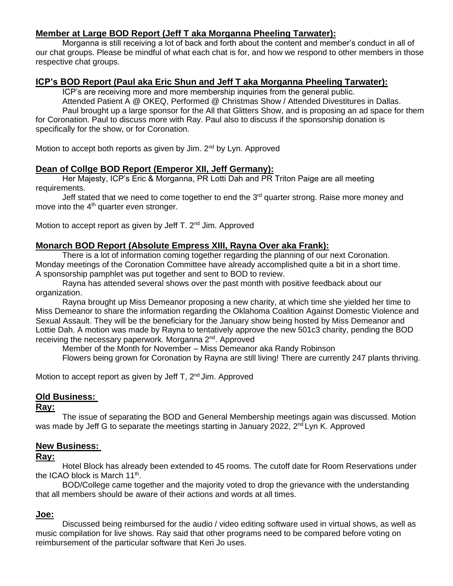# **Member at Large BOD Report (Jeff T aka Morganna Pheeling Tarwater):**

Morganna is still receiving a lot of back and forth about the content and member's conduct in all of our chat groups. Please be mindful of what each chat is for, and how we respond to other members in those respective chat groups.

# **ICP's BOD Report (Paul aka Eric Shun and Jeff T aka Morganna Pheeling Tarwater):**

ICP's are receiving more and more membership inquiries from the general public. Attended Patient A @ OKEQ, Performed @ Christmas Show / Attended Divestitures in Dallas. Paul brought up a large sponsor for the All that Glitters Show, and is proposing an ad space for them for Coronation. Paul to discuss more with Ray. Paul also to discuss if the sponsorship donation is specifically for the show, or for Coronation.

Motion to accept both reports as given by Jim. 2<sup>nd</sup> by Lyn. Approved

### **Dean of Collge BOD Report (Emperor XII, Jeff Germany):**

Her Majesty, ICP's Eric & Morganna, PR Lotti Dah and PR Triton Paige are all meeting requirements.

Jeff stated that we need to come together to end the  $3<sup>rd</sup>$  quarter strong. Raise more money and move into the  $4<sup>th</sup>$  quarter even stronger.

Motion to accept report as given by Jeff T. 2<sup>nd</sup> Jim. Approved

# **Monarch BOD Report (Absolute Empress XIII, Rayna Over aka Frank):**

There is a lot of information coming together regarding the planning of our next Coronation. Monday meetings of the Coronation Committee have already accomplished quite a bit in a short time. A sponsorship pamphlet was put together and sent to BOD to review.

Rayna has attended several shows over the past month with positive feedback about our organization.

Rayna brought up Miss Demeanor proposing a new charity, at which time she yielded her time to Miss Demeanor to share the information regarding the Oklahoma Coalition Against Domestic Violence and Sexual Assault. They will be the beneficiary for the January show being hosted by Miss Demeanor and Lottie Dah. A motion was made by Rayna to tentatively approve the new 501c3 charity, pending the BOD receiving the necessary paperwork. Morganna 2<sup>nd</sup>. Approved

Member of the Month for November – Miss Demeanor aka Randy Robinson Flowers being grown for Coronation by Rayna are still living! There are currently 247 plants thriving.

Motion to accept report as given by Jeff T, 2<sup>nd</sup> Jim. Approved

### **Old Business:**

#### **Ray:**

The issue of separating the BOD and General Membership meetings again was discussed. Motion was made by Jeff G to separate the meetings starting in January 2022, 2<sup>nd</sup> Lyn K. Approved

### **New Business:**

#### **Ray:**

Hotel Block has already been extended to 45 rooms. The cutoff date for Room Reservations under the ICAO block is March  $11^{th}$ .

BOD/College came together and the majority voted to drop the grievance with the understanding that all members should be aware of their actions and words at all times.

### **Joe:**

Discussed being reimbursed for the audio / video editing software used in virtual shows, as well as music compilation for live shows. Ray said that other programs need to be compared before voting on reimbursement of the particular software that Keri Jo uses.